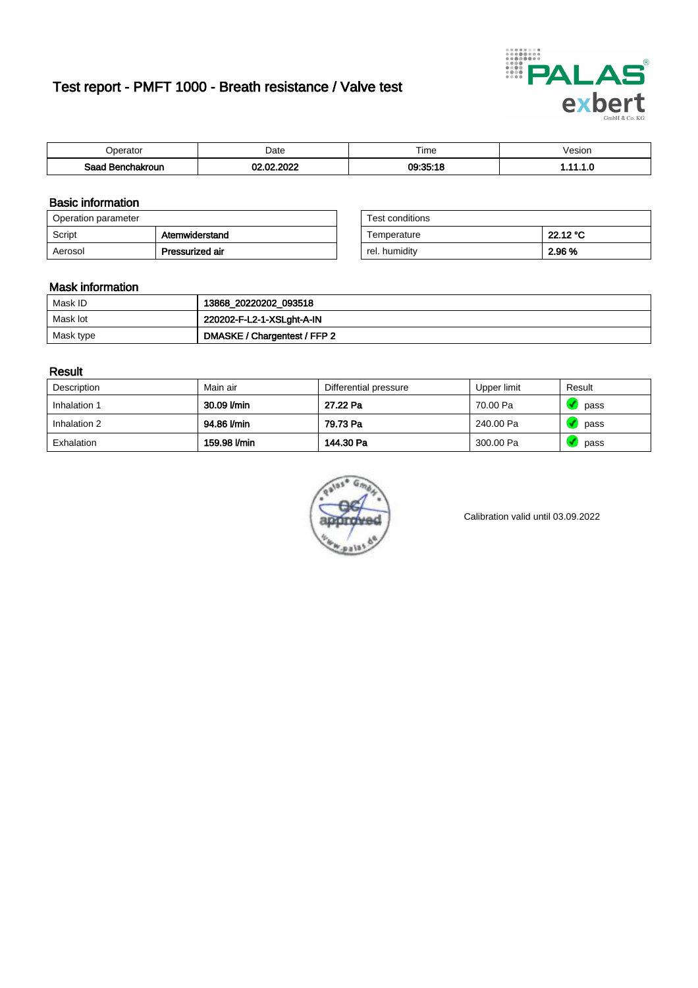# Test report - PMFT 1000 - Breath resistance / Valve test



| <b>'</b> perator                | Date       | $- \cdot$<br><b>Time</b> | /esion |
|---------------------------------|------------|--------------------------|--------|
| Saad<br><b>\chakroun</b><br>. . | .cooc<br>. | 09:35:18                 | .      |

### Basic information

| Operation parameter |                 | Test conditions |          |
|---------------------|-----------------|-----------------|----------|
| Script              | Atemwiderstand  | Temperature     | 22.12 °C |
| Aerosol             | Pressurized air | rel. humiditv   | 2.96 %   |

| Test conditions |          |
|-----------------|----------|
| Temperature     | 22.12 °C |
| rel. humidity   | 2.96 %   |

#### Mask information

| Mask ID   | 13868_20220202_093518        |
|-----------|------------------------------|
| Mask lot  | 220202-F-L2-1-XSLght-A-IN    |
| Mask type | DMASKE / Chargentest / FFP 2 |

### Result

| Description  | Main air     | Differential pressure | Upper limit | Result |
|--------------|--------------|-----------------------|-------------|--------|
| Inhalation 1 | 30.09 l/min  | 27.22 Pa              | 70.00 Pa    | pass   |
| Inhalation 2 | 94.86 l/min  | 79.73 Pa              | 240.00 Pa   | pass   |
| Exhalation   | 159.98 l/min | 144.30 Pa             | 300.00 Pa   | pass   |



Calibration valid until 03.09.2022